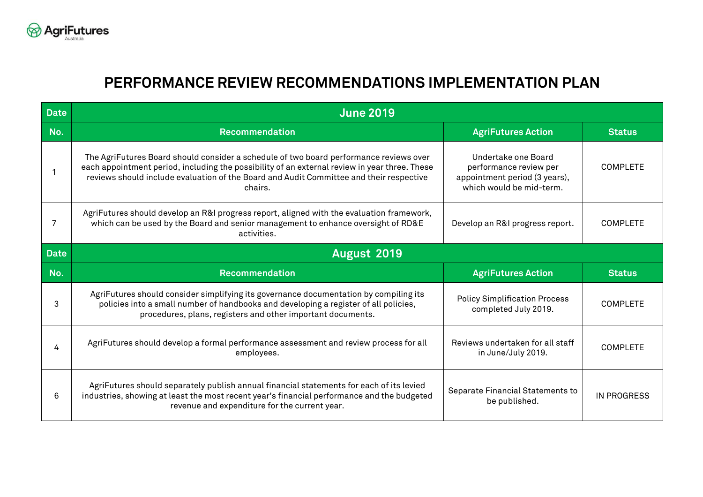

## **PERFORMANCE REVIEW RECOMMENDATIONS IMPLEMENTATION PLAN**

| <b>Date</b> | <b>June 2019</b>                                                                                                                                                                                                                                                                              |                                                                                                            |                    |  |  |
|-------------|-----------------------------------------------------------------------------------------------------------------------------------------------------------------------------------------------------------------------------------------------------------------------------------------------|------------------------------------------------------------------------------------------------------------|--------------------|--|--|
| No.         | <b>Recommendation</b>                                                                                                                                                                                                                                                                         | <b>AgriFutures Action</b>                                                                                  | <b>Status</b>      |  |  |
|             | The AgriFutures Board should consider a schedule of two board performance reviews over<br>each appointment period, including the possibility of an external review in year three. These<br>reviews should include evaluation of the Board and Audit Committee and their respective<br>chairs. | Undertake one Board<br>performance review per<br>appointment period (3 years),<br>which would be mid-term. | <b>COMPLETE</b>    |  |  |
| 7           | AgriFutures should develop an R&I progress report, aligned with the evaluation framework,<br>which can be used by the Board and senior management to enhance oversight of RD&E<br>activities.                                                                                                 | Develop an R&I progress report.                                                                            | <b>COMPLETE</b>    |  |  |
| <b>Date</b> | August 2019                                                                                                                                                                                                                                                                                   |                                                                                                            |                    |  |  |
| No.         | <b>Recommendation</b>                                                                                                                                                                                                                                                                         | <b>AgriFutures Action</b>                                                                                  | <b>Status</b>      |  |  |
| 3           | AgriFutures should consider simplifying its governance documentation by compiling its<br>policies into a small number of handbooks and developing a register of all policies,<br>procedures, plans, registers and other important documents.                                                  | <b>Policy Simplification Process</b><br>completed July 2019.                                               | <b>COMPLETE</b>    |  |  |
| 4           | AgriFutures should develop a formal performance assessment and review process for all<br>employees.                                                                                                                                                                                           | Reviews undertaken for all staff<br>in June/July 2019.                                                     | <b>COMPLETE</b>    |  |  |
| 6           | AgriFutures should separately publish annual financial statements for each of its levied<br>industries, showing at least the most recent year's financial performance and the budgeted<br>revenue and expenditure for the current year.                                                       | Separate Financial Statements to<br>be published.                                                          | <b>IN PROGRESS</b> |  |  |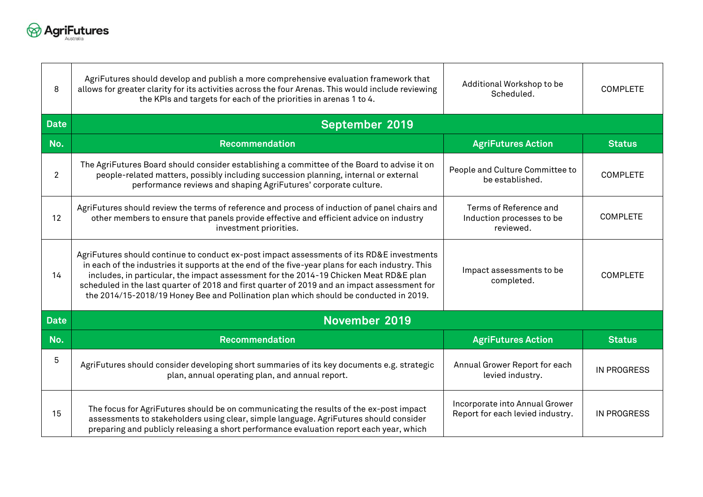

| 8              | AgriFutures should develop and publish a more comprehensive evaluation framework that<br>allows for greater clarity for its activities across the four Arenas. This would include reviewing<br>the KPIs and targets for each of the priorities in arenas 1 to 4.                                                                                                                                                                                                               | Additional Workshop to be<br>Scheduled.                            | <b>COMPLETE</b>    |  |  |
|----------------|--------------------------------------------------------------------------------------------------------------------------------------------------------------------------------------------------------------------------------------------------------------------------------------------------------------------------------------------------------------------------------------------------------------------------------------------------------------------------------|--------------------------------------------------------------------|--------------------|--|--|
| <b>Date</b>    | <b>September 2019</b>                                                                                                                                                                                                                                                                                                                                                                                                                                                          |                                                                    |                    |  |  |
| No.            | <b>Recommendation</b>                                                                                                                                                                                                                                                                                                                                                                                                                                                          | <b>AgriFutures Action</b>                                          | <b>Status</b>      |  |  |
| $\overline{2}$ | The AgriFutures Board should consider establishing a committee of the Board to advise it on<br>people-related matters, possibly including succession planning, internal or external<br>performance reviews and shaping AgriFutures' corporate culture.                                                                                                                                                                                                                         | People and Culture Committee to<br>be established.                 | <b>COMPLETE</b>    |  |  |
| 12             | AgriFutures should review the terms of reference and process of induction of panel chairs and<br>other members to ensure that panels provide effective and efficient advice on industry<br>investment priorities.                                                                                                                                                                                                                                                              | Terms of Reference and<br>Induction processes to be<br>reviewed.   | <b>COMPLETE</b>    |  |  |
| 14             | AgriFutures should continue to conduct ex-post impact assessments of its RD&E investments<br>in each of the industries it supports at the end of the five-year plans for each industry. This<br>includes, in particular, the impact assessment for the 2014-19 Chicken Meat RD&E plan<br>scheduled in the last quarter of 2018 and first quarter of 2019 and an impact assessment for<br>the 2014/15-2018/19 Honey Bee and Pollination plan which should be conducted in 2019. | Impact assessments to be<br>completed.                             | <b>COMPLETE</b>    |  |  |
| <b>Date</b>    | November 2019                                                                                                                                                                                                                                                                                                                                                                                                                                                                  |                                                                    |                    |  |  |
| No.            | Recommendation                                                                                                                                                                                                                                                                                                                                                                                                                                                                 | <b>AgriFutures Action</b>                                          | <b>Status</b>      |  |  |
| 5              | AgriFutures should consider developing short summaries of its key documents e.g. strategic<br>plan, annual operating plan, and annual report.                                                                                                                                                                                                                                                                                                                                  | Annual Grower Report for each<br>levied industry.                  | <b>IN PROGRESS</b> |  |  |
| 15             | The focus for AgriFutures should be on communicating the results of the ex-post impact<br>assessments to stakeholders using clear, simple language. AgriFutures should consider<br>preparing and publicly releasing a short performance evaluation report each year, which                                                                                                                                                                                                     | Incorporate into Annual Grower<br>Report for each levied industry. | <b>IN PROGRESS</b> |  |  |